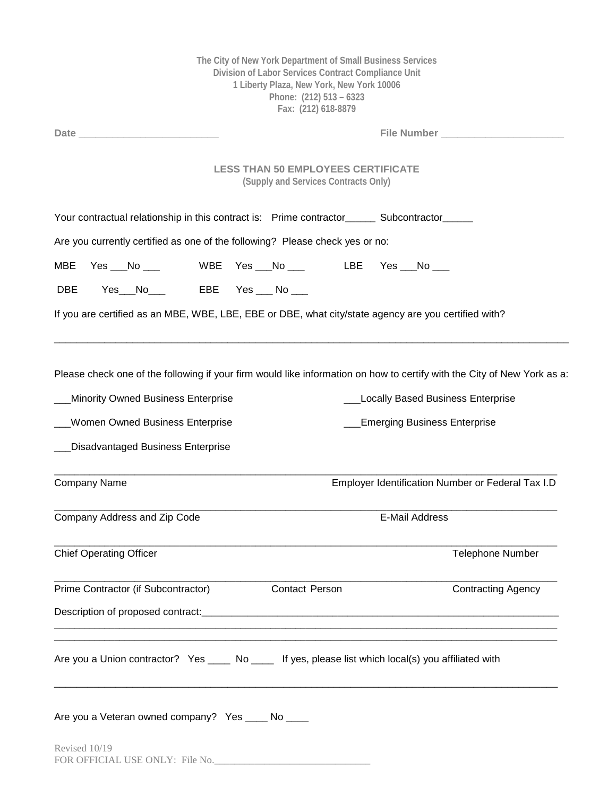|                                                                                                                                                                                                                                |  |                | Division of Labor Services Contract Compliance Unit<br>1 Liberty Plaza, New York, New York 10006<br>Phone: (212) 513 - 6323<br>Fax: (212) 618-8879 | The City of New York Department of Small Business Services |                                                   |  |
|--------------------------------------------------------------------------------------------------------------------------------------------------------------------------------------------------------------------------------|--|----------------|----------------------------------------------------------------------------------------------------------------------------------------------------|------------------------------------------------------------|---------------------------------------------------|--|
| Date and the contract of the contract of the contract of the contract of the contract of the contract of the contract of the contract of the contract of the contract of the contract of the contract of the contract of the c |  | File Number    |                                                                                                                                                    |                                                            |                                                   |  |
|                                                                                                                                                                                                                                |  |                | <b>LESS THAN 50 EMPLOYEES CERTIFICATE</b><br>(Supply and Services Contracts Only)                                                                  |                                                            |                                                   |  |
| Your contractual relationship in this contract is: Prime contractor______ Subcontractor_____                                                                                                                                   |  |                |                                                                                                                                                    |                                                            |                                                   |  |
| Are you currently certified as one of the following? Please check yes or no:                                                                                                                                                   |  |                |                                                                                                                                                    |                                                            |                                                   |  |
| <b>MBE</b><br>Yes $N_0$                                                                                                                                                                                                        |  |                |                                                                                                                                                    | WBE    Yes ___No ___              LBE      Yes ___No ___   |                                                   |  |
| Yes__No____   EBE  Yes ___ No ___<br><b>DBE</b>                                                                                                                                                                                |  |                |                                                                                                                                                    |                                                            |                                                   |  |
| If you are certified as an MBE, WBE, LBE, EBE or DBE, what city/state agency are you certified with?                                                                                                                           |  |                |                                                                                                                                                    |                                                            |                                                   |  |
|                                                                                                                                                                                                                                |  |                |                                                                                                                                                    |                                                            |                                                   |  |
| Please check one of the following if your firm would like information on how to certify with the City of New York as a:                                                                                                        |  |                |                                                                                                                                                    |                                                            |                                                   |  |
| <b>Minority Owned Business Enterprise</b>                                                                                                                                                                                      |  |                |                                                                                                                                                    | <b>Locally Based Business Enterprise</b>                   |                                                   |  |
| <b>Women Owned Business Enterprise</b>                                                                                                                                                                                         |  |                |                                                                                                                                                    | <b>Emerging Business Enterprise</b>                        |                                                   |  |
| <b>Disadvantaged Business Enterprise</b>                                                                                                                                                                                       |  |                |                                                                                                                                                    |                                                            |                                                   |  |
| Company Name                                                                                                                                                                                                                   |  |                |                                                                                                                                                    |                                                            | Employer Identification Number or Federal Tax I.D |  |
| Company Address and Zip Code                                                                                                                                                                                                   |  |                | E-Mail Address                                                                                                                                     |                                                            |                                                   |  |
| <b>Chief Operating Officer</b>                                                                                                                                                                                                 |  |                |                                                                                                                                                    |                                                            | Telephone Number                                  |  |
| Prime Contractor (if Subcontractor)                                                                                                                                                                                            |  | Contact Person |                                                                                                                                                    |                                                            | <b>Contracting Agency</b>                         |  |
|                                                                                                                                                                                                                                |  |                |                                                                                                                                                    |                                                            |                                                   |  |
|                                                                                                                                                                                                                                |  |                |                                                                                                                                                    |                                                            |                                                   |  |
| Are you a Union contractor? Yes ____ No ____ If yes, please list which local(s) you affiliated with                                                                                                                            |  |                |                                                                                                                                                    |                                                            |                                                   |  |
| Are you a Veteran owned company? Yes ____ No ___<br>Revised 10/19                                                                                                                                                              |  |                |                                                                                                                                                    |                                                            |                                                   |  |
| FOR OFFICIAL USE ONLY: File No.                                                                                                                                                                                                |  |                |                                                                                                                                                    |                                                            |                                                   |  |